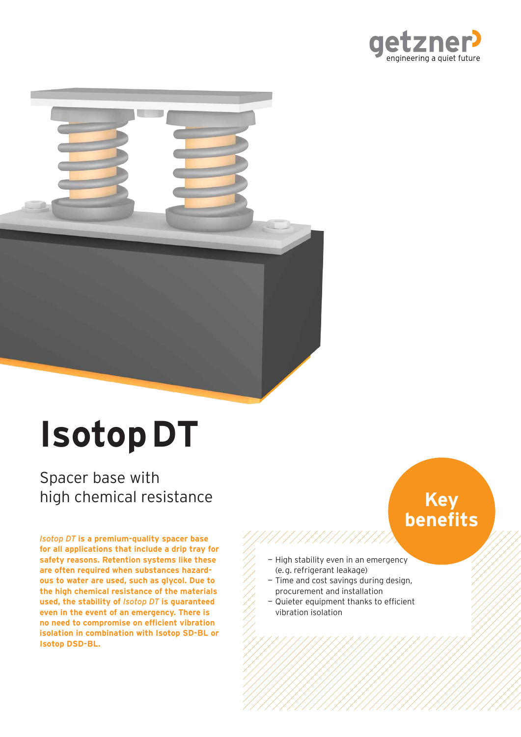



# **Isotop DT**

Spacer base with high chemical resistance

*Isotop DT* **is a premium-quality spacer base for all applications that include a drip tray for safety reasons. Retention systems like these are often required when substances hazardous to water are used, such as glycol. Due to the high chemical resistance of the materials used, the stability of** *Isotop DT* **is guaranteed even in the event of an emergency. There is no need to compromise on efficient vibration isolation in combination with Isotop SD-BL or Isotop DSD-BL.**

# **Key benefits**

 — High stability even in an emergency (e. g. refrigerant leakage)

///////////////

- Time and cost savings during design, procurement and installation
- Quieter equipment thanks to efficient vibration isolation